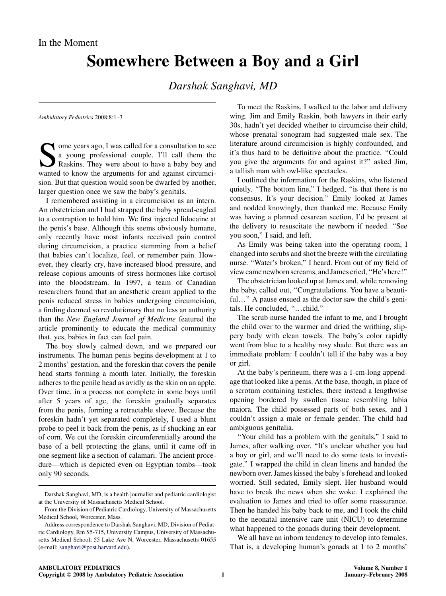## Somewhere Between a Boy and a Girl

Darshak Sanghavi, MD

Ambulatory Pediatrics 2008;8:1–3

 $\blacksquare$  ome years ago, I was called for a consultation to see a young professional couple. I'll call them the Raskins. They were about to have a baby boy and wanted to know the arguments for and against circumcision. But that question would soon be dwarfed by another, larger question once we saw the baby's genitals.

I remembered assisting in a circumcision as an intern. An obstetrician and I had strapped the baby spread-eagled to a contraption to hold him. We first injected lidocaine at the penis's base. Although this seems obviously humane, only recently have most infants received pain control during circumcision, a practice stemming from a belief that babies can't localize, feel, or remember pain. However, they clearly cry, have increased blood pressure, and release copious amounts of stress hormones like cortisol into the bloodstream. In 1997, a team of Canadian researchers found that an anesthetic cream applied to the penis reduced stress in babies undergoing circumcision, a finding deemed so revolutionary that no less an authority than the New England Journal of Medicine featured the article prominently to educate the medical community that, yes, babies in fact can feel pain.

The boy slowly calmed down, and we prepared our instruments. The human penis begins development at 1 to 2 months' gestation, and the foreskin that covers the penile head starts forming a month later. Initially, the foreskin adheres to the penile head as avidly as the skin on an apple. Over time, in a process not complete in some boys until after 5 years of age, the foreskin gradually separates from the penis, forming a retractable sleeve. Because the foreskin hadn't yet separated completely, I used a blunt probe to peel it back from the penis, as if shucking an ear of corn. We cut the foreskin circumferentially around the base of a bell protecting the glans, until it came off in one segment like a section of calamari. The ancient procedure—which is depicted even on Egyptian tombs—took only 90 seconds.

To meet the Raskins, I walked to the labor and delivery wing. Jim and Emily Raskin, both lawyers in their early 30s, hadn't yet decided whether to circumcise their child, whose prenatal sonogram had suggested male sex. The literature around circumcision is highly confounded, and it's thus hard to be definitive about the practice. ''Could you give the arguments for and against it?'' asked Jim, a tallish man with owl-like spectacles.

I outlined the information for the Raskins, who listened quietly. "The bottom line," I hedged, "is that there is no consensus. It's your decision.'' Emily looked at James and nodded knowingly, then thanked me. Because Emily was having a planned cesarean section, I'd be present at the delivery to resuscitate the newborn if needed. ''See you soon,'' I said, and left.

As Emily was being taken into the operating room, I changed into scrubs and shot the breeze with the circulating nurse. "Water's broken," I heard. From out of my field of view came newborn screams, and James cried, ''He's here!''

The obstetrician looked up at James and, while removing the baby, called out, ''Congratulations. You have a beautiful..." A pause ensued as the doctor saw the child's genitals. He concluded, "...child."

The scrub nurse handed the infant to me, and I brought the child over to the warmer and dried the writhing, slippery body with clean towels. The baby's color rapidly went from blue to a healthy rosy shade. But there was an immediate problem: I couldn't tell if the baby was a boy or girl.

At the baby's perineum, there was a 1-cm-long appendage that looked like a penis. At the base, though, in place of a scrotum containing testicles, there instead a lengthwise opening bordered by swollen tissue resembling labia majora. The child possessed parts of both sexes, and I couldn't assign a male or female gender. The child had ambiguous genitalia.

''Your child has a problem with the genitals,'' I said to James, after walking over. ''It's unclear whether you had a boy or girl, and we'll need to do some tests to investigate.'' I wrapped the child in clean linens and handed the newborn over. James kissed the baby's forehead and looked worried. Still sedated, Emily slept. Her husband would have to break the news when she woke. I explained the evaluation to James and tried to offer some reassurance. Then he handed his baby back to me, and I took the child to the neonatal intensive care unit (NICU) to determine what happened to the gonads during their development.

We all have an inborn tendency to develop into females. That is, a developing human's gonads at 1 to 2 months'

Darshak Sanghavi, MD, is a health journalist and pediatric cardiologist at the University of Massachusetts Medical School.

From the Division of Pediatric Cardiology, University of Massachusetts Medical School, Worcester, Mass.

Address correspondence to Darshak Sanghavi, MD, Division of Pediatric Cardiology, Rm S5-715, University Campus, University of Massachusetts Medical School, 55 Lake Ave N, Worcester, Massachusetts 01655 (e-mail: [sanghavi@post.harvard.edu](mailto:sanghavi@post.harvard.edu)).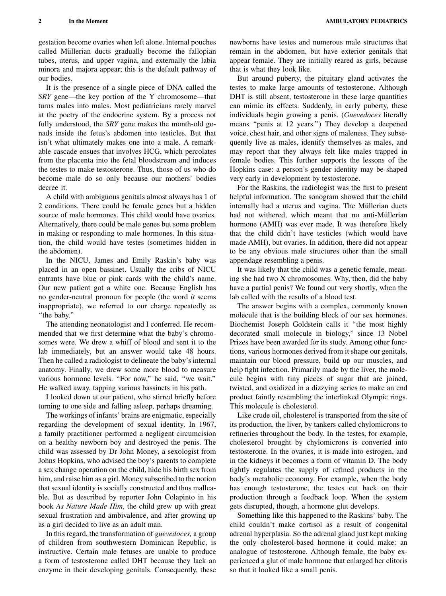gestation become ovaries when left alone. Internal pouches called Müllerian ducts gradually become the fallopian tubes, uterus, and upper vagina, and externally the labia minora and majora appear; this is the default pathway of our bodies.

It is the presence of a single piece of DNA called the SRY gene—the key portion of the Y chromosome—that turns males into males. Most pediatricians rarely marvel at the poetry of the endocrine system. By a process not fully understood, the SRY gene makes the month-old gonads inside the fetus's abdomen into testicles. But that isn't what ultimately makes one into a male. A remarkable cascade ensues that involves HCG, which percolates from the placenta into the fetal bloodstream and induces the testes to make testosterone. Thus, those of us who do become male do so only because our mothers' bodies decree it.

A child with ambiguous genitals almost always has 1 of 2 conditions. There could be female genes but a hidden source of male hormones. This child would have ovaries. Alternatively, there could be male genes but some problem in making or responding to male hormones. In this situation, the child would have testes (sometimes hidden in the abdomen).

In the NICU, James and Emily Raskin's baby was placed in an open bassinet. Usually the cribs of NICU entrants have blue or pink cards with the child's name. Our new patient got a white one. Because English has no gender-neutral pronoun for people (the word it seems inappropriate), we referred to our charge repeatedly as ''the baby.''

The attending neonatologist and I conferred. He recommended that we first determine what the baby's chromosomes were. We drew a whiff of blood and sent it to the lab immediately, but an answer would take 48 hours. Then he called a radiologist to delineate the baby's internal anatomy. Finally, we drew some more blood to measure various hormone levels. "For now," he said, "we wait." He walked away, tapping various bassinets in his path.

I looked down at our patient, who stirred briefly before turning to one side and falling asleep, perhaps dreaming.

The workings of infants' brains are enigmatic, especially regarding the development of sexual identity. In 1967, a family practitioner performed a negligent circumcision on a healthy newborn boy and destroyed the penis. The child was assessed by Dr John Money, a sexologist from Johns Hopkins, who advised the boy's parents to complete a sex change operation on the child, hide his birth sex from him, and raise him as a girl. Money subscribed to the notion that sexual identity is socially constructed and thus malleable. But as described by reporter John Colapinto in his book As Nature Made Him, the child grew up with great sexual frustration and ambivalence, and after growing up as a girl decided to live as an adult man.

In this regard, the transformation of guevedoces, a group of children from southwestern Dominican Republic, is instructive. Certain male fetuses are unable to produce a form of testosterone called DHT because they lack an enzyme in their developing genitals. Consequently, these

newborns have testes and numerous male structures that remain in the abdomen, but have exterior genitals that appear female. They are initially reared as girls, because that is what they look like.

But around puberty, the pituitary gland activates the testes to make large amounts of testosterone. Although DHT is still absent, testosterone in these large quantities can mimic its effects. Suddenly, in early puberty, these individuals begin growing a penis. (Guevedoces literally means ''penis at 12 years.'') They develop a deepened voice, chest hair, and other signs of maleness. They subsequently live as males, identify themselves as males, and may report that they always felt like males trapped in female bodies. This further supports the lessons of the Hopkins case: a person's gender identity may be shaped very early in development by testosterone.

For the Raskins, the radiologist was the first to present helpful information. The sonogram showed that the child internally had a uterus and vagina. The Müllerian ducts had not withered, which meant that no anti-Müllerian hormone (AMH) was ever made. It was therefore likely that the child didn't have testicles (which would have made AMH), but ovaries. In addition, there did not appear to be any obvious male structures other than the small appendage resembling a penis.

It was likely that the child was a genetic female, meaning she had two X chromosomes. Why, then, did the baby have a partial penis? We found out very shortly, when the lab called with the results of a blood test.

The answer begins with a complex, commonly known molecule that is the building block of our sex hormones. Biochemist Joseph Goldstein calls it ''the most highly decorated small molecule in biology," since 13 Nobel Prizes have been awarded for its study. Among other functions, various hormones derived from it shape our genitals, maintain our blood pressure, build up our muscles, and help fight infection. Primarily made by the liver, the molecule begins with tiny pieces of sugar that are joined, twisted, and oxidized in a dizzying series to make an end product faintly resembling the interlinked Olympic rings. This molecule is cholesterol.

Like crude oil, cholesterol is transported from the site of its production, the liver, by tankers called chylomicrons to refineries throughout the body. In the testes, for example, cholesterol brought by chylomicrons is converted into testosterone. In the ovaries, it is made into estrogen, and in the kidneys it becomes a form of vitamin D. The body tightly regulates the supply of refined products in the body's metabolic economy. For example, when the body has enough testosterone, the testes cut back on their production through a feedback loop. When the system gets disrupted, though, a hormone glut develops.

Something like this happened to the Raskins' baby. The child couldn't make cortisol as a result of congenital adrenal hyperplasia. So the adrenal gland just kept making the only cholesterol-based hormone it could make: an analogue of testosterone. Although female, the baby experienced a glut of male hormone that enlarged her clitoris so that it looked like a small penis.